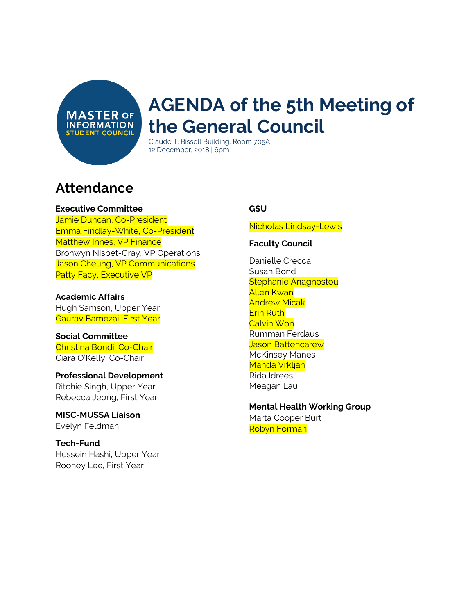**MASTER OF INFORMATION STUDENT COUNCIL** 

# **AGENDA of the 5th Meeting of the General Council**

Claude T. Bissell Building, Room 705A 12 December, 2018 | 6pm

### **Attendance**

#### **Executive Committee**

Jamie Duncan, Co-President Emma Findlay-White, Co-President Matthew Innes, VP Finance Bronwyn Nisbet-Gray, VP Operations Jason Cheung, VP Communications Patty Facy, Executive VP

**Academic Affairs** Hugh Samson, Upper Year Gaurav Bamezai, First Year

**Social Committee** Christina Bondi, Co-Chair Ciara O'Kelly, Co-Chair

#### **Professional Development** Ritchie Singh, Upper Year Rebecca Jeong, First Year

**MISC-MUSSA Liaison** Evelyn Feldman

**Tech-Fund** Hussein Hashi, Upper Year Rooney Lee, First Year

#### **GSU**

Nicholas Lindsay-Lewis

#### **Faculty Council**

Danielle Crecca Susan Bond Stephanie Anagnostou Allen Kwan Andrew Micak Erin Ruth Calvin Won Rumman Ferdaus Jason Battencarew McKinsey Manes Manda Vrkljan Rida Idrees Meagan Lau

**Mental Health Working Group** Marta Cooper Burt Robyn Forman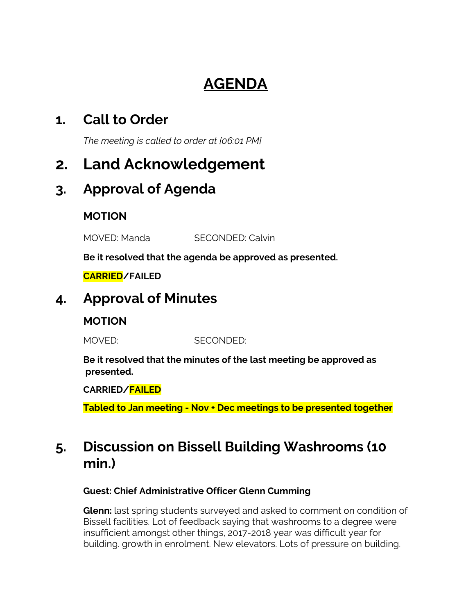# **AGENDA**

### **1. Call to Order**

*The meeting is called to order at [06:01 PM]*

# **2. Land Acknowledgement**

### **3. Approval of Agenda**

### **MOTION**

MOVED: Manda SECONDED: Calvin

**Be it resolved that the agenda be approved as presented.**

#### **CARRIED/FAILED**

### **4. Approval of Minutes**

### **MOTION**

MOVED: SECONDED:

**Be it resolved that the minutes of the last meeting be approved as presented.**

**CARRIED/FAILED**

**Tabled to Jan meeting - Nov + Dec meetings to be presented together**

## **5. Discussion on Bissell Building Washrooms (10 min.)**

#### **Guest: Chief Administrative Officer Glenn Cumming**

**Glenn:** last spring students surveyed and asked to comment on condition of Bissell facilities. Lot of feedback saying that washrooms to a degree were insufficient amongst other things, 2017-2018 year was difficult year for building. growth in enrolment. New elevators. Lots of pressure on building.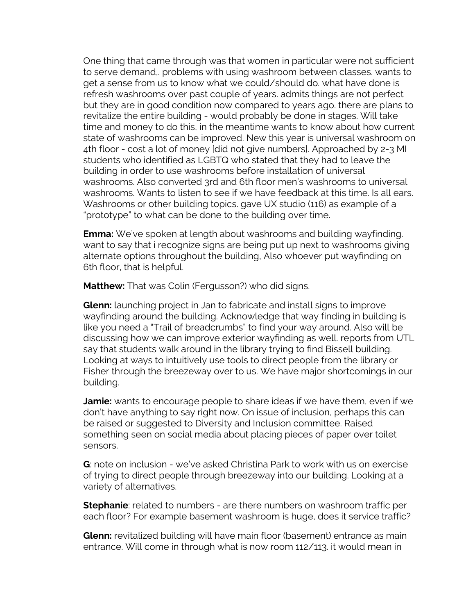One thing that came through was that women in particular were not sufficient to serve demand,. problems with using washroom between classes. wants to get a sense from us to know what we could/should do. what have done is refresh washrooms over past couple of years. admits things are not perfect but they are in good condition now compared to years ago. there are plans to revitalize the entire building - would probably be done in stages. Will take time and money to do this, in the meantime wants to know about how current state of washrooms can be improved. New this year is universal washroom on 4th floor - cost a lot of money [did not give numbers]. Approached by 2-3 MI students who identified as LGBTQ who stated that they had to leave the building in order to use washrooms before installation of universal washrooms. Also converted 3rd and 6th floor men's washrooms to universal washrooms. Wants to listen to see if we have feedback at this time. Is all ears. Washrooms or other building topics. gave UX studio (116) as example of a "prototype" to what can be done to the building over time.

**Emma:** We've spoken at length about washrooms and building wayfinding. want to say that i recognize signs are being put up next to washrooms giving alternate options throughout the building, Also whoever put wayfinding on 6th floor, that is helpful.

**Matthew:** That was Colin (Fergusson?) who did signs.

**Glenn:** launching project in Jan to fabricate and install signs to improve wayfinding around the building. Acknowledge that way finding in building is like you need a "Trail of breadcrumbs" to find your way around. Also will be discussing how we can improve exterior wayfinding as well. reports from UTL say that students walk around in the library trying to find Bissell building. Looking at ways to intuitively use tools to direct people from the library or Fisher through the breezeway over to us. We have major shortcomings in our building.

**Jamie:** wants to encourage people to share ideas if we have them, even if we don't have anything to say right now. On issue of inclusion, perhaps this can be raised or suggested to Diversity and Inclusion committee. Raised something seen on social media about placing pieces of paper over toilet sensors.

**G**: note on inclusion - we've asked Christina Park to work with us on exercise of trying to direct people through breezeway into our building. Looking at a variety of alternatives.

**Stephanie**: related to numbers - are there numbers on washroom traffic per each floor? For example basement washroom is huge, does it service traffic?

**Glenn:** revitalized building will have main floor (basement) entrance as main entrance. Will come in through what is now room 112/113. it would mean in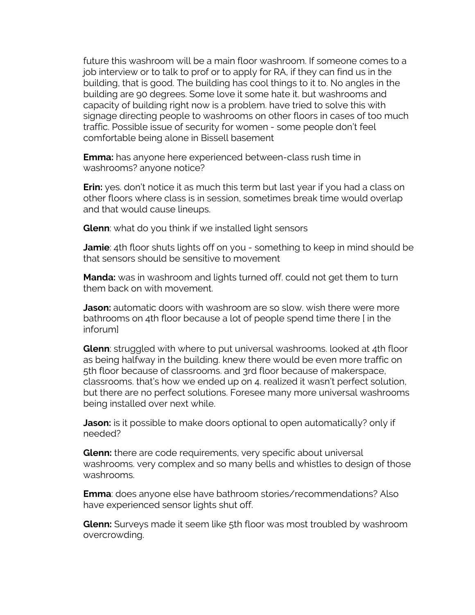future this washroom will be a main floor washroom. If someone comes to a job interview or to talk to prof or to apply for RA, if they can find us in the building, that is good. The building has cool things to it to. No angles in the building are 90 degrees. Some love it some hate it. but washrooms and capacity of building right now is a problem. have tried to solve this with signage directing people to washrooms on other floors in cases of too much traffic. Possible issue of security for women - some people don't feel comfortable being alone in Bissell basement

**Emma:** has anyone here experienced between-class rush time in washrooms? anyone notice?

**Erin:** yes. don't notice it as much this term but last year if you had a class on other floors where class is in session, sometimes break time would overlap and that would cause lineups.

**Glenn**: what do you think if we installed light sensors

**Jamie**: 4th floor shuts lights off on you - something to keep in mind should be that sensors should be sensitive to movement

**Manda:** was in washroom and lights turned off. could not get them to turn them back on with movement.

**Jason:** automatic doors with washroom are so slow. wish there were more bathrooms on 4th floor because a lot of people spend time there [ in the inforum]

**Glenn**: struggled with where to put universal washrooms. looked at 4th floor as being halfway in the building. knew there would be even more traffic on 5th floor because of classrooms. and 3rd floor because of makerspace, classrooms. that's how we ended up on 4. realized it wasn't perfect solution, but there are no perfect solutions. Foresee many more universal washrooms being installed over next while.

**Jason:** is it possible to make doors optional to open automatically? only if needed?

**Glenn:** there are code requirements, very specific about universal washrooms. very complex and so many bells and whistles to design of those washrooms.

**Emma**: does anyone else have bathroom stories/recommendations? Also have experienced sensor lights shut off.

**Glenn:** Surveys made it seem like 5th floor was most troubled by washroom overcrowding.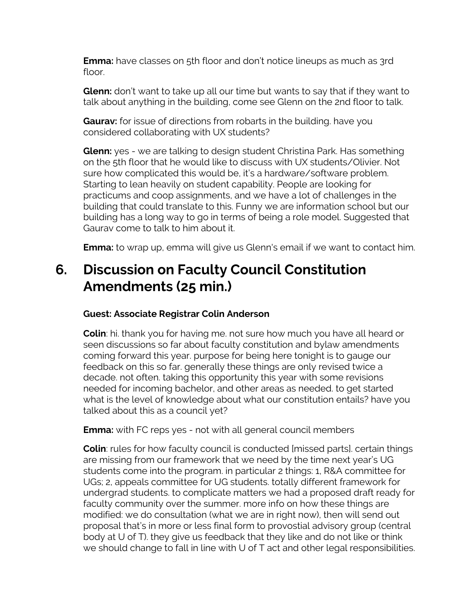**Emma:** have classes on 5th floor and don't notice lineups as much as 3rd floor.

**Glenn:** don't want to take up all our time but wants to say that if they want to talk about anything in the building, come see Glenn on the 2nd floor to talk.

**Gaurav:** for issue of directions from robarts in the building. have you considered collaborating with UX students?

**Glenn:** yes - we are talking to design student Christina Park. Has something on the 5th floor that he would like to discuss with UX students/Olivier. Not sure how complicated this would be, it's a hardware/software problem. Starting to lean heavily on student capability. People are looking for practicums and coop assignments, and we have a lot of challenges in the building that could translate to this. Funny we are information school but our building has a long way to go in terms of being a role model. Suggested that Gaurav come to talk to him about it.

**Emma:** to wrap up, emma will give us Glenn's email if we want to contact him.

## **6. Discussion on Faculty Council Constitution Amendments (25 min.)**

#### **Guest: Associate Registrar Colin Anderson**

**Colin**: hi. thank you for having me. not sure how much you have all heard or seen discussions so far about faculty constitution and bylaw amendments coming forward this year. purpose for being here tonight is to gauge our feedback on this so far. generally these things are only revised twice a decade. not often. taking this opportunity this year with some revisions needed for incoming bachelor, and other areas as needed. to get started what is the level of knowledge about what our constitution entails? have you talked about this as a council yet?

**Emma:** with FC reps yes - not with all general council members

**Colin**: rules for how faculty council is conducted [missed parts]. certain things are missing from our framework that we need by the time next year's UG students come into the program. in particular 2 things: 1, R&A committee for UGs; 2, appeals committee for UG students. totally different framework for undergrad students. to complicate matters we had a proposed draft ready for faculty community over the summer. more info on how these things are modified: we do consultation (what we are in right now), then will send out proposal that's in more or less final form to provostial advisory group (central body at U of T). they give us feedback that they like and do not like or think we should change to fall in line with U of T act and other legal responsibilities.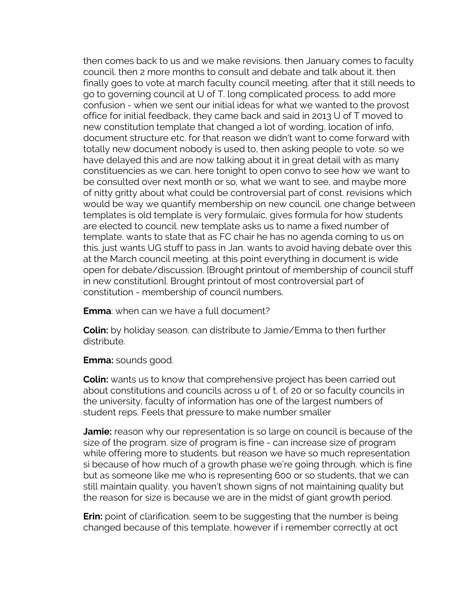then comes back to us and we make revisions. then January comes to faculty council. then 2 more months to consult and debate and talk about it. then finally goes to vote at march faculty council meeting. after that it still needs to go to governing council at U of T. long complicated process. to add more confusion - when we sent our initial ideas for what we wanted to the provost office for initial feedback, they came back and said in 2013 U of T moved to new constitution template that changed a lot of wording, location of info, document structure etc. for that reason we didn't want to come forward with totally new document nobody is used to, then asking people to vote. so we have delayed this and are now talking about it in great detail with as many constituencies as we can. here tonight to open convo to see how we want to be consulted over next month or so, what we want to see, and maybe more of nitty gritty about what could be controversial part of const. revisions which would be way we quantify membership on new council. one change between templates is old template is very formulaic, gives formula for how students are elected to council. new template asks us to name a fixed number of template. wants to state that as FC chair he has no agenda coming to us on this. just wants UG stuff to pass in Jan. wants to avoid having debate over this at the March council meeting. at this point everything in document is wide open for debate/discussion. [Brought printout of membership of council stuff in new constitution]. Brought printout of most controversial part of constitution - membership of council numbers.

**Emma**: when can we have a full document?

**Colin:** by holiday season. can distribute to Jamie/Emma to then further distribute.

**Emma:** sounds good.

**Colin:** wants us to know that comprehensive project has been carried out about constitutions and councils across u of t. of 20 or so faculty councils in the university, faculty of information has one of the largest numbers of student reps. Feels that pressure to make number smaller

**Jamie:** reason why our representation is so large on council is because of the size of the program. size of program is fine - can increase size of program while offering more to students. but reason we have so much representation si because of how much of a growth phase we're going through. which is fine but as someone like me who is representing 600 or so students, that we can still maintain quality. you haven't shown signs of not maintaining quality but the reason for size is because we are in the midst of giant growth period.

**Erin:** point of clarification. seem to be suggesting that the number is being changed because of this template. however if i remember correctly at oct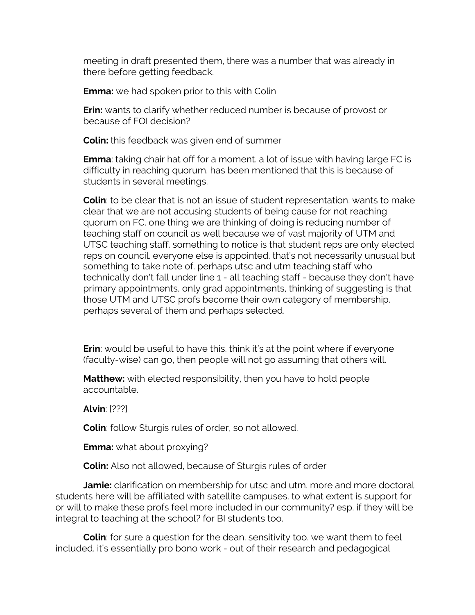meeting in draft presented them, there was a number that was already in there before getting feedback.

**Emma:** we had spoken prior to this with Colin

**Erin:** wants to clarify whether reduced number is because of provost or because of FOI decision?

**Colin:** this feedback was given end of summer

**Emma**: taking chair hat off for a moment. a lot of issue with having large FC is difficulty in reaching quorum. has been mentioned that this is because of students in several meetings.

**Colin**: to be clear that is not an issue of student representation. wants to make clear that we are not accusing students of being cause for not reaching quorum on FC. one thing we are thinking of doing is reducing number of teaching staff on council as well because we of vast majority of UTM and UTSC teaching staff. something to notice is that student reps are only elected reps on council. everyone else is appointed. that's not necessarily unusual but something to take note of. perhaps utsc and utm teaching staff who technically don't fall under line 1 - all teaching staff - because they don't have primary appointments, only grad appointments, thinking of suggesting is that those UTM and UTSC profs become their own category of membership. perhaps several of them and perhaps selected.

**Erin**: would be useful to have this. think it's at the point where if everyone (faculty-wise) can go, then people will not go assuming that others will.

**Matthew:** with elected responsibility, then you have to hold people accountable.

**Alvin**: [???]

**Colin**: follow Sturgis rules of order, so not allowed.

**Emma:** what about proxying?

**Colin:** Also not allowed, because of Sturgis rules of order

**Jamie:** clarification on membership for utsc and utm. more and more doctoral students here will be affiliated with satellite campuses. to what extent is support for or will to make these profs feel more included in our community? esp. if they will be integral to teaching at the school? for BI students too.

**Colin**: for sure a question for the dean. sensitivity too. we want them to feel included. it's essentially pro bono work - out of their research and pedagogical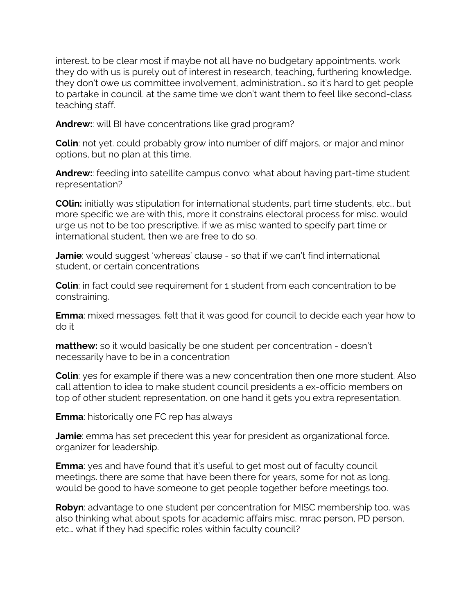interest. to be clear most if maybe not all have no budgetary appointments. work they do with us is purely out of interest in research, teaching, furthering knowledge. they don't owe us committee involvement, administration… so it's hard to get people to partake in council. at the same time we don't want them to feel like second-class teaching staff.

**Andrew:**: will BI have concentrations like grad program?

**Colin**: not yet. could probably grow into number of diff majors, or major and minor options, but no plan at this time.

**Andrew:**: feeding into satellite campus convo: what about having part-time student representation?

**COlin:** initially was stipulation for international students, part time students, etc… but more specific we are with this, more it constrains electoral process for misc. would urge us not to be too prescriptive. if we as misc wanted to specify part time or international student, then we are free to do so.

**Jamie**: would suggest 'whereas' clause - so that if we can't find international student, or certain concentrations

**Colin**: in fact could see requirement for 1 student from each concentration to be constraining.

**Emma**: mixed messages. felt that it was good for council to decide each year how to do it

**matthew:** so it would basically be one student per concentration - doesn't necessarily have to be in a concentration

**Colin**: yes for example if there was a new concentration then one more student. Also call attention to idea to make student council presidents a ex-officio members on top of other student representation. on one hand it gets you extra representation.

**Emma**: historically one FC rep has always

**Jamie**: emma has set precedent this year for president as organizational force. organizer for leadership.

**Emma**: yes and have found that it's useful to get most out of faculty council meetings. there are some that have been there for years, some for not as long. would be good to have someone to get people together before meetings too.

**Robyn**: advantage to one student per concentration for MISC membership too. was also thinking what about spots for academic affairs misc, mrac person, PD person, etc… what if they had specific roles within faculty council?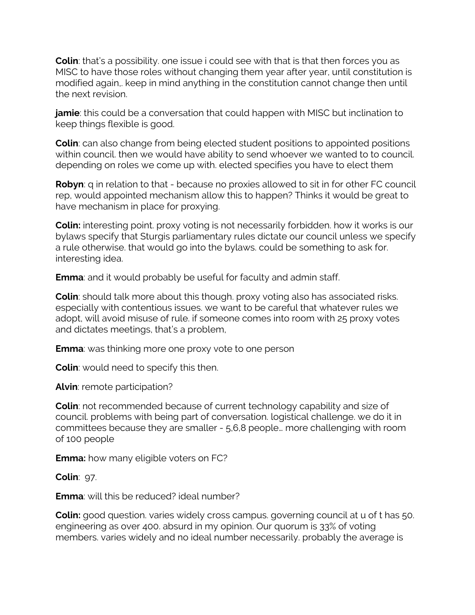**Colin**: that's a possibility. one issue i could see with that is that then forces you as MISC to have those roles without changing them year after year, until constitution is modified again,. keep in mind anything in the constitution cannot change then until the next revision.

**jamie**: this could be a conversation that could happen with MISC but inclination to keep things flexible is good.

**Colin**: can also change from being elected student positions to appointed positions within council. then we would have ability to send whoever we wanted to to council. depending on roles we come up with. elected specifies you have to elect them

**Robyn**: q in relation to that - because no proxies allowed to sit in for other FC council rep, would appointed mechanism allow this to happen? Thinks it would be great to have mechanism in place for proxying.

**Colin:** interesting point. proxy voting is not necessarily forbidden. how it works is our bylaws specify that Sturgis parliamentary rules dictate our council unless we specify a rule otherwise. that would go into the bylaws. could be something to ask for. interesting idea.

**Emma**: and it would probably be useful for faculty and admin staff.

**Colin**: should talk more about this though. proxy voting also has associated risks. especially with contentious issues. we want to be careful that whatever rules we adopt, will avoid misuse of rule. if someone comes into room with 25 proxy votes and dictates meetings, that's a problem,

**Emma**: was thinking more one proxy vote to one person

**Colin**: would need to specify this then.

**Alvin**: remote participation?

**Colin**: not recommended because of current technology capability and size of council. problems with being part of conversation. logistical challenge. we do it in committees because they are smaller - 5,6,8 people… more challenging with room of 100 people

**Emma:** how many eligible voters on FC?

**Colin**: 97.

**Emma**: will this be reduced? ideal number?

**Colin:** good question. varies widely cross campus. governing council at u of t has 50. engineering as over 400. absurd in my opinion. Our quorum is 33% of voting members. varies widely and no ideal number necessarily. probably the average is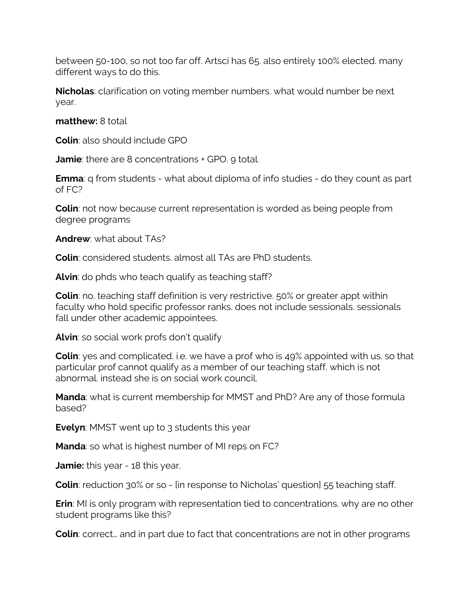between 50-100, so not too far off. Artsci has 65. also entirely 100% elected. many different ways to do this.

**Nicholas**: clarification on voting member numbers. what would number be next year.

**matthew:** 8 total

**Colin**: also should include GPO

**Jamie**: there are 8 concentrations + GPO. 9 total.

**Emma**: q from students - what about diploma of info studies - do they count as part of FC?

**Colin**: not now because current representation is worded as being people from degree programs

**Andrew**: what about TAs?

**Colin**: considered students. almost all TAs are PhD students.

**Alvin**: do phds who teach qualify as teaching staff?

**Colin**: no. teaching staff definition is very restrictive. 50% or greater appt within faculty who hold specific professor ranks. does not include sessionals. sessionals fall under other academic appointees.

**Alvin**: so social work profs don't qualify

**Colin**: yes and complicated. i.e. we have a prof who is 49% appointed with us. so that particular prof cannot qualify as a member of our teaching staff. which is not abnormal. instead she is on social work council.

**Manda**: what is current membership for MMST and PhD? Are any of those formula based?

**Evelyn**: MMST went up to 3 students this year

**Manda**: so what is highest number of MI reps on FC?

**Jamie:** this year - 18 this year.

**Colin**: reduction 30% or so - [in response to Nicholas' question] 55 teaching staff.

**Erin**: MI is only program with representation tied to concentrations. why are no other student programs like this?

**Colin**: correct... and in part due to fact that concentrations are not in other programs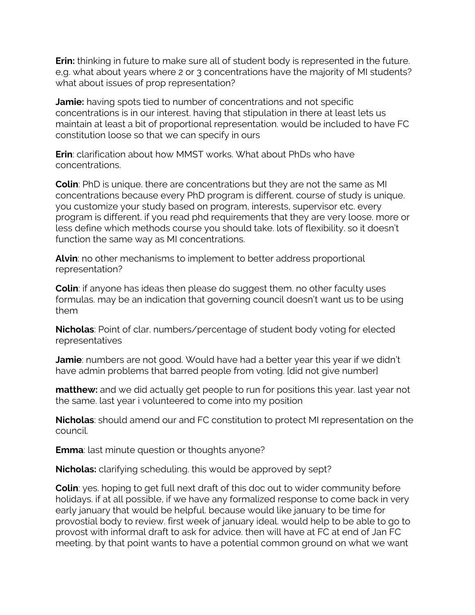**Erin:** thinking in future to make sure all of student body is represented in the future. e,g. what about years where 2 or 3 concentrations have the majority of MI students? what about issues of prop representation?

**Jamie:** having spots tied to number of concentrations and not specific concentrations is in our interest. having that stipulation in there at least lets us maintain at least a bit of proportional representation. would be included to have FC constitution loose so that we can specify in ours

**Erin**: clarification about how MMST works. What about PhDs who have concentrations.

**Colin**: PhD is unique. there are concentrations but they are not the same as MI concentrations because every PhD program is different. course of study is unique. you customize your study based on program, interests, supervisor etc. every program is different. if you read phd requirements that they are very loose. more or less define which methods course you should take. lots of flexibility. so it doesn't function the same way as MI concentrations.

**Alvin**: no other mechanisms to implement to better address proportional representation?

**Colin**: if anyone has ideas then please do suggest them. no other faculty uses formulas. may be an indication that governing council doesn't want us to be using them

**Nicholas**: Point of clar. numbers/percentage of student body voting for elected representatives

**Jamie**: numbers are not good. Would have had a better year this year if we didn't have admin problems that barred people from voting. [did not give number]

**matthew:** and we did actually get people to run for positions this year. last year not the same. last year i volunteered to come into my position

**Nicholas**: should amend our and FC constitution to protect MI representation on the council.

**Emma**: last minute question or thoughts anyone?

**Nicholas:** clarifying scheduling. this would be approved by sept?

**Colin**: yes. hoping to get full next draft of this doc out to wider community before holidays. if at all possible, if we have any formalized response to come back in very early january that would be helpful. because would like january to be time for provostial body to review. first week of january ideal. would help to be able to go to provost with informal draft to ask for advice. then will have at FC at end of Jan FC meeting. by that point wants to have a potential common ground on what we want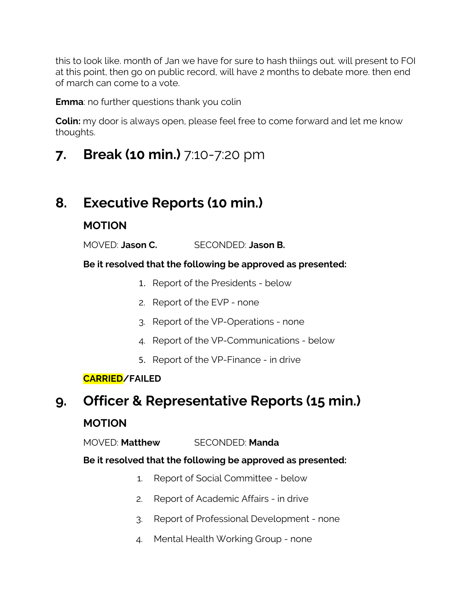this to look like. month of Jan we have for sure to hash thiings out. will present to FOI at this point, then go on public record, will have 2 months to debate more. then end of march can come to a vote.

**Emma**: no further questions thank you colin

**Colin:** my door is always open, please feel free to come forward and let me know thoughts.

**7. Break (10 min.)** 7:10-7:20 pm

# **8. Executive Reports (10 min.)**

### **MOTION**

MOVED: **Jason C.** SECONDED: **Jason B.**

#### **Be it resolved that the following be approved as presented:**

- 1. Report of the Presidents below
- 2. Report of the EVP none
- 3. Report of the VP-Operations none
- 4. Report of the VP-Communications below
- 5. Report of the VP-Finance in drive

### **CARRIED/FAILED**

# **9. Officer & Representative Reports (15 min.)**

### **MOTION**

MOVED: **Matthew** SECONDED: **Manda**

#### **Be it resolved that the following be approved as presented:**

- 1. Report of Social Committee below
- 2. Report of Academic Affairs in drive
- 3. Report of Professional Development none
- 4. Mental Health Working Group none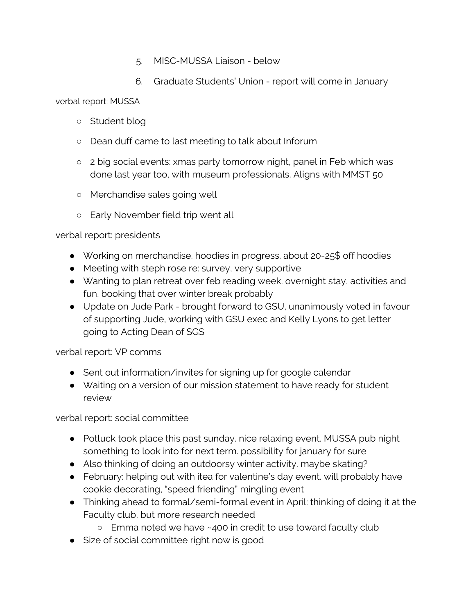- 5. MISC-MUSSA Liaison below
- 6. Graduate Students' Union report will come in January

verbal report: MUSSA

- Student blog
- Dean duff came to last meeting to talk about Inforum
- 2 big social events: xmas party tomorrow night, panel in Feb which was done last year too, with museum professionals. Aligns with MMST 50
- Merchandise sales going well
- Early November field trip went all

#### verbal report: presidents

- Working on merchandise. hoodies in progress. about 20-25\$ off hoodies
- Meeting with steph rose re: survey, very supportive
- Wanting to plan retreat over feb reading week. overnight stay, activities and fun. booking that over winter break probably
- Update on Jude Park brought forward to GSU, unanimously voted in favour of supporting Jude, working with GSU exec and Kelly Lyons to get letter going to Acting Dean of SGS

#### verbal report: VP comms

- Sent out information/invites for signing up for google calendar
- Waiting on a version of our mission statement to have ready for student review

verbal report: social committee

- Potluck took place this past sunday. nice relaxing event. MUSSA pub night something to look into for next term. possibility for january for sure
- Also thinking of doing an outdoorsy winter activity. maybe skating?
- February: helping out with itea for valentine's day event. will probably have cookie decorating, "speed friending" mingling event
- Thinking ahead to formal/semi-formal event in April: thinking of doing it at the Faculty club, but more research needed
	- Emma noted we have ~400 in credit to use toward faculty club
- Size of social committee right now is good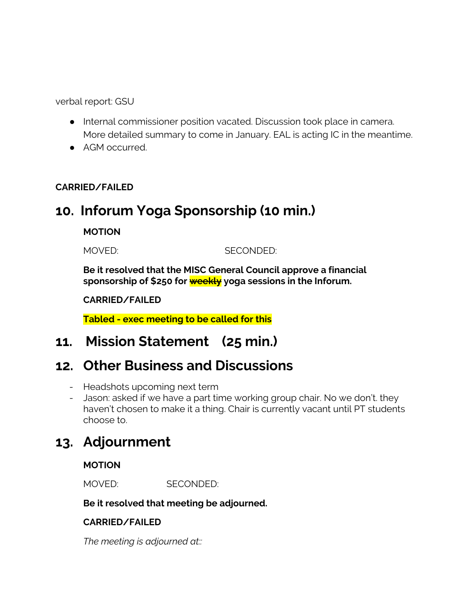verbal report: GSU

- Internal commissioner position vacated. Discussion took place in camera. More detailed summary to come in January. EAL is acting IC in the meantime.
- AGM occurred.

#### **CARRIED/FAILED**

### **10. Inforum Yoga Sponsorship (10 min.)**

#### **MOTION**

MOVED: SECONDED:

**Be it resolved that the MISC General Council approve a financial sponsorship of \$250 for weekly yoga sessions in the Inforum.**

#### **CARRIED/FAILED**

**Tabled - exec meeting to be called for this**

### **11. Mission Statement (25 min.)**

### **12. Other Business and Discussions**

- Headshots upcoming next term
- Jason: asked if we have a part time working group chair. No we don't. they haven't chosen to make it a thing. Chair is currently vacant until PT students choose to.

### **13. Adjournment**

#### **MOTION**

MOVED: SECONDED:

#### **Be it resolved that meeting be adjourned.**

#### **CARRIED/FAILED**

*The meeting is adjourned at::*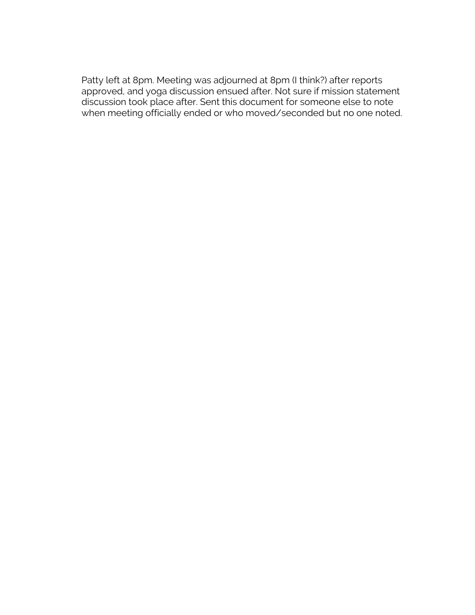Patty left at 8pm. Meeting was adjourned at 8pm (I think?) after reports approved, and yoga discussion ensued after. Not sure if mission statement discussion took place after. Sent this document for someone else to note when meeting officially ended or who moved/seconded but no one noted.